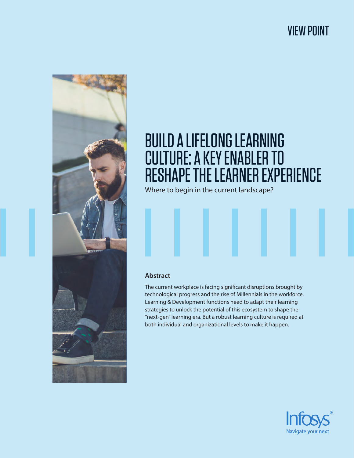# VIEW POINT



# BUILD A LIFELONG LEARNING CULTURE: A KEY ENABLER TO RESHAPE THE LEARNER EXPERIENCE

Where to begin in the current landscape?

### **Abstract**

The current workplace is facing significant disruptions brought by technological progress and the rise of Millennials in the workforce. Learning & Development functions need to adapt their learning strategies to unlock the potential of this ecosystem to shape the "next-gen" learning era. But a robust learning culture is required at both individual and organizational levels to make it happen.

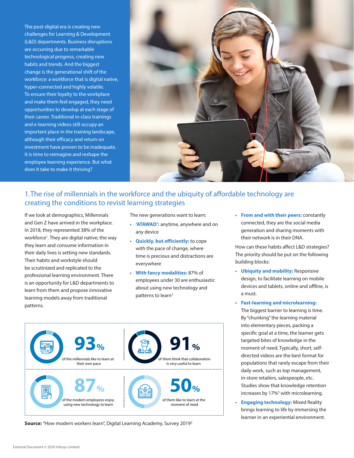The post-digital era is creating new challenges for Learning & Development (L&D) departments. Business disruptions are occurring due to remarkable technological progress, creating new habits and trends. And the biggest change is the generational shift of the workforce: a workforce that is digital native, hyper-connected and highly volatile. To ensure their loyalty to the workplace and make them feel engaged, they need opportunities to develop at each stage of their career. Traditional in-class trainings and e-learning videos still occupy an important place in the training landscape, although their efficacy and return on investment have proven to be inadequate. It is time to reimagine and reshape the employee learning experience. But what does it take to make it thriving?



# 1.The rise of millennials in the workforce and the ubiquity of affordable technology are creating the conditions to revisit learning strategies

If we look at demographics, Millennials and Gen Z have arrived in the workplace. In 2018, they represented 38% of the workforce<sup>1</sup>. They are digital native; the way they learn and consume information in their daily lives is setting new standards. Their habits and workstyle should be scrutinized and replicated to the professional learning environment. There is an opportunity for L&D departments to learn from them and propose innovative learning models away from traditional patterns.

The new generations want to learn:

- **'ATAWAD':** anytime, anywhere and on any device
- **Quickly, but efficiently:** to cope with the pace of change, where time is precious and distractions are everywhere
- **With fancy modalities:** 87% of employees under 30 are enthusiastic about using new technology and patterns to learn<sup>2</sup>



**Source:** "How modern workers learn", Digital Learning Academy, Survey 2019<sup>2</sup>

**• From and with their peers:** constantly connected, they are the social media generation and sharing moments with their network is in their DNA.

How can these habits affect L&D strategies? The priority should be put on the following building blocks:

- **Ubiquity and mobility:** Responsive design, to facilitate learning on mobile devices and tablets, online and offline, is a must.
- **Fast-learning and microlearning:**  The biggest barrier to learning is time. By "chunking" the learning material into elementary pieces, packing a specific goal at a time, the learner gets targeted bites of knowledge in the moment of need. Typically, short, selfdirected videos are the best format for populations that rarely escape from their daily work, such as top management, in-store retailers, salespeople, etc. Studies show that knowledge retention increases by 17%<sup>3</sup> with microlearning.
- **Engaging technology:** Mixed Reality brings learning to life by immersing the learner in an experiential environment.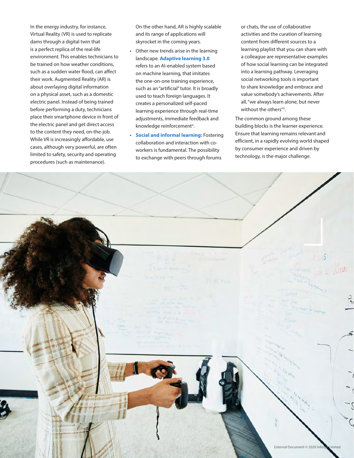In the energy industry, for instance, Virtual Reality (VR) is used to replicate dams through a digital twin that is a perfect replica of the real-life environment. This enables technicians to be trained on how weather conditions, such as a sudden water flood, can affect their work. Augmented Reality (AR) is about overlaying digital information on a physical asset, such as a domestic electric panel. Instead of being trained before performing a duty, technicians place their smartphone device in front of the electric panel and get direct access to the content they need, on-the-job. While VR is increasingly affordable, use cases, although very powerful, are often limited to safety, security and operating procedures (such as maintenance).

 On the other hand, AR is highly scalable and its range of applications will skyrocket in the coming years.

- Other new trends arise in the learning landscape. **Adaptive learning 3.0**  refers to an AI-enabled system based on machine learning, that imitates the one-on-one training experience, such as an "artificial" tutor. It is broadly used to teach foreign languages. It creates a personalized self-paced learning experience through real-time adjustments, immediate feedback and knowledge reinforcement<sup>4</sup>.
- **Social and informal learning:** Fostering collaboration and interaction with coworkers is fundamental. The possibility to exchange with peers through forums

or chats, the use of collaborative activities and the curation of learning content from different sources to a learning playlist that you can share with a colleague are representative examples of how social learning can be integrated into a learning pathway. Leveraging social networking tools is important to share knowledge and embrace and value somebody's achievements. After all, "we always learn alone, but never without the others"<sup>5</sup>.

The common ground among these building blocks is the learner experience. Ensure that learning remains relevant and efficient, in a rapidly evolving world shaped by consumer experience and driven by technology, is the major challenge.

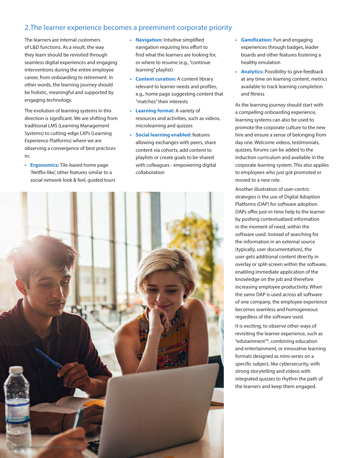# 2.The learner experience becomes a preeminent corporate priority

The learners are internal customers of L&D functions. As a result, the way they learn should be revisited through seamless digital experiences and engaging interventions during the entire employee career, from onboarding to retirement. In other words, the learning journey should be holistic, meaningful and supported by engaging technology.

The evolution of learning systems in this direction is significant. We are shifting from traditional LMS (Learning Management Systems) to cutting-edge LXPs (Learning Experience Platforms) where we are observing a convergence of best practices in:

**• Ergonomics:** Tile-based home page 'Netflix-like', other features similar to a social network look & feel, guided tours

- **Navigation:** Intuitive simplified navigation requiring less effort to find what the learners are looking for, or where to resume (e.g., "continue learning" playlist)
- **Content curation:** A content library relevant to learner needs and profiles, e.g., home page suggesting content that "matches" their interests
- **Learning format:** A variety of resources and activities, such as videos, microlearning and quizzes
- **Social learning enabled:** features allowing exchanges with peers, share content via cohorts, add content to playlists or create goals to be shared with colleagues - empowering digital collaboration



- **Gamification:** Fun and engaging experiences through badges, leader boards and other features fostering a healthy emulation
- **Analytics:** Possibility to give feedback at any time on learning content, metrics available to track learning completion and fitness

As the learning journey should start with a compelling onboarding experience, learning systems can also be used to promote the corporate culture to the new hire and ensure a sense of belonging from day one. Welcome videos, testimonials, quizzes, forums can be added to the induction curriculum and available in the corporate learning system. This also applies to employees who just got promoted or moved to a new role.

Another illustration of user-centric strategies is the use of Digital Adoption Platforms (DAP) for software adoption. DAPs offer just-in-time help to the learner by pushing contextualized information in the moment of need, within the software used. Instead of searching for the information in an external source (typically, user documentation), the user gets additional content directly in overlay or split-screen within the software, enabling immediate application of the knowledge on the job and therefore increasing employee productivity. When the same DAP is used across all software of one company, the employee experience becomes seamless and homogeneous regardless of the software used.

It is exciting, to observe other ways of revisiting the learner experience, such as "edutainment"6 , combining education and entertainment, or innovative learning formats designed as mini-series on a specific subject, like cybersecurity, with strong storytelling and videos with integrated quizzes to rhythm the path of the learners and keep them engaged.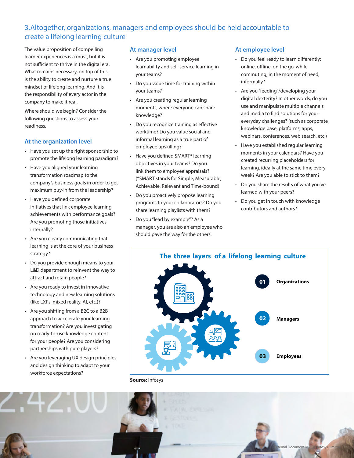# 3.Altogether, organizations, managers and employees should be held accountable to create a lifelong learning culture

The value proposition of compelling learner experiences is a must, but it is not sufficient to thrive in the digital era. What remains necessary, on top of this, is the ability to create and nurture a true mindset of lifelong learning. And it is the responsibility of every actor in the company to make it real.

Where should we begin? Consider the following questions to assess your readiness.

#### **At the organization level**

- Have you set up the right sponsorship to promote the lifelong learning paradigm?
- Have you aligned your learning transformation roadmap to the company's business goals in order to get maximum buy-in from the leadership?
- Have you defined corporate initiatives that link employee learning achievements with performance goals? Are you promoting those initiatives internally?
- Are you clearly communicating that learning is at the core of your business strategy?
- Do you provide enough means to your L&D department to reinvent the way to attract and retain people?
- Are you ready to invest in innovative technology and new learning solutions (like LXPs, mixed reality, AI, etc.)?
- Are you shifting from a B2C to a B2B approach to accelerate your learning transformation? Are you investigating on ready-to-use knowledge content for your people? Are you considering partnerships with pure players?
- Are you leveraging UX design principles and design thinking to adapt to your workforce expectations?

#### **At manager level**

- Are you promoting employee learnability and self-service learning in your teams?
- Do you value time for training within your teams?
- Are you creating regular learning moments, where everyone can share knowledge?
- Do you recognize training as effective worktime? Do you value social and informal learning as a true part of employee upskilling?
- Have you defined SMART\* learning objectives in your teams? Do you link them to employee appraisals? (\*SMART stands for Simple, Measurable, Achievable, Relevant and Time-bound)
- Do you proactively propose learning programs to your collaborators? Do you share learning playlists with them?
- Do you "lead by example"? As a manager, you are also an employee who should pave the way for the others.

#### **At employee level**

- Do you feel ready to learn differently: online, offline, on the go, while commuting, in the moment of need, informally?
- Are you "feeding"/developing your digital dexterity? In other words, do you use and manipulate multiple channels and media to find solutions for your everyday challenges? (such as corporate knowledge base, platforms, apps, webinars, conferences, web search, etc.)
- Have you established regular learning moments in your calendars? Have you created recurring placeholders for learning, ideally at the same time every week? Are you able to stick to them?
- Do you share the results of what you've learned with your peers?
- Do you get in touch with knowledge contributors and authors?



**Source:** Infosys

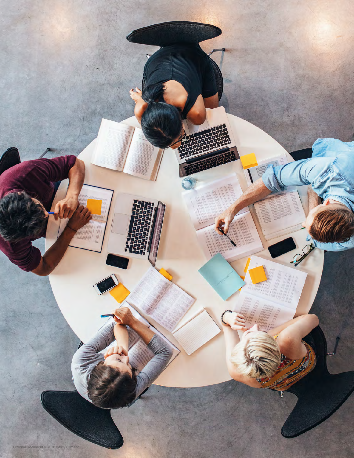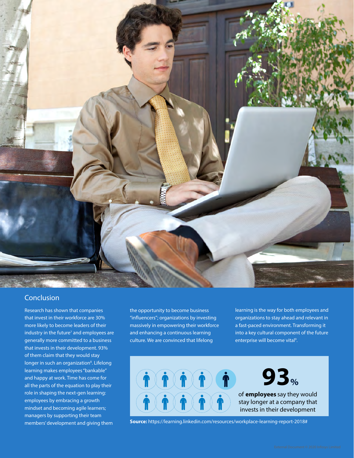

#### Conclusion

Research has shown that companies that invest in their workforce are 30% more likely to become leaders of their industry in the future<sup>7</sup> and employees are generally more committed to a business that invests in their development. 93% of them claim that they would stay longer in such an organization<sup>8</sup>. Lifelong learning makes employees "bankable" and happy at work. Time has come for all the parts of the equation to play their role in shaping the next-gen learning: employees by embracing a growth mindset and becoming agile learners; managers by supporting their team members' development and giving them

the opportunity to become business "influencers"; organizations by investing massively in empowering their workforce and enhancing a continuous learning culture. We are convinced that lifelong

learning is the way for both employees and organizations to stay ahead and relevant in a fast-paced environment. Transforming it into a key cultural component of the future enterprise will become vital<sup>9</sup>.



**93%**

of **employees** say they would stay longer at a company that invests in their development

**Source:** https://learning.linkedin.com/resources/workplace-learning-report-2018#